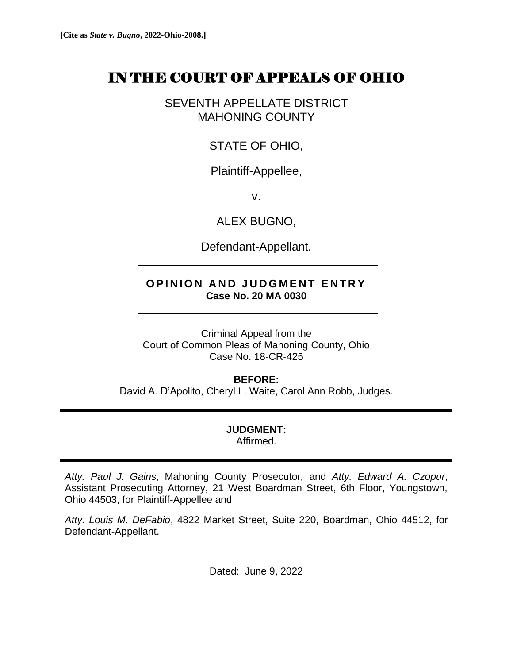# IN THE COURT OF APPEALS OF OHIO

SEVENTH APPELLATE DISTRICT MAHONING COUNTY

STATE OF OHIO,

Plaintiff-Appellee,

v.

ALEX BUGNO,

Defendant-Appellant.

## **OPINION AND JUDGMENT ENTRY Case No. 20 MA 0030**

Criminal Appeal from the Court of Common Pleas of Mahoning County, Ohio Case No. 18-CR-425

### **BEFORE:**

David A. D'Apolito, Cheryl L. Waite, Carol Ann Robb, Judges.

### **JUDGMENT:** Affirmed.

*Atty. Paul J. Gains*, Mahoning County Prosecutor*,* and *Atty. Edward A. Czopur*, Assistant Prosecuting Attorney, 21 West Boardman Street, 6th Floor, Youngstown, Ohio 44503, for Plaintiff-Appellee and

*Atty. Louis M. DeFabio*, 4822 Market Street, Suite 220, Boardman, Ohio 44512, for Defendant-Appellant.

Dated: June 9, 2022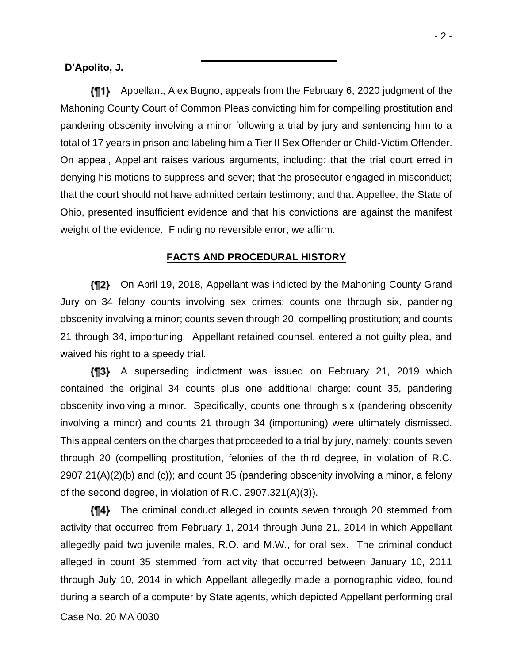### **D'Apolito, J.**

Appellant, Alex Bugno, appeals from the February 6, 2020 judgment of the Mahoning County Court of Common Pleas convicting him for compelling prostitution and pandering obscenity involving a minor following a trial by jury and sentencing him to a total of 17 years in prison and labeling him a Tier II Sex Offender or Child-Victim Offender. On appeal, Appellant raises various arguments, including: that the trial court erred in denying his motions to suppress and sever; that the prosecutor engaged in misconduct; that the court should not have admitted certain testimony; and that Appellee, the State of Ohio, presented insufficient evidence and that his convictions are against the manifest weight of the evidence.Finding no reversible error, we affirm.

### **FACTS AND PROCEDURAL HISTORY**

**[12]** On April 19, 2018, Appellant was indicted by the Mahoning County Grand Jury on 34 felony counts involving sex crimes: counts one through six, pandering obscenity involving a minor; counts seven through 20, compelling prostitution; and counts 21 through 34, importuning. Appellant retained counsel, entered a not guilty plea, and waived his right to a speedy trial.

A superseding indictment was issued on February 21, 2019 which contained the original 34 counts plus one additional charge: count 35, pandering obscenity involving a minor. Specifically, counts one through six (pandering obscenity involving a minor) and counts 21 through 34 (importuning) were ultimately dismissed. This appeal centers on the charges that proceeded to a trial by jury, namely: counts seven through 20 (compelling prostitution, felonies of the third degree, in violation of R.C. 2907.21(A)(2)(b) and (c)); and count 35 (pandering obscenity involving a minor, a felony of the second degree, in violation of R.C. 2907.321(A)(3)).

The criminal conduct alleged in counts seven through 20 stemmed from activity that occurred from February 1, 2014 through June 21, 2014 in which Appellant allegedly paid two juvenile males, R.O. and M.W., for oral sex. The criminal conduct alleged in count 35 stemmed from activity that occurred between January 10, 2011 through July 10, 2014 in which Appellant allegedly made a pornographic video, found during a search of a computer by State agents, which depicted Appellant performing oral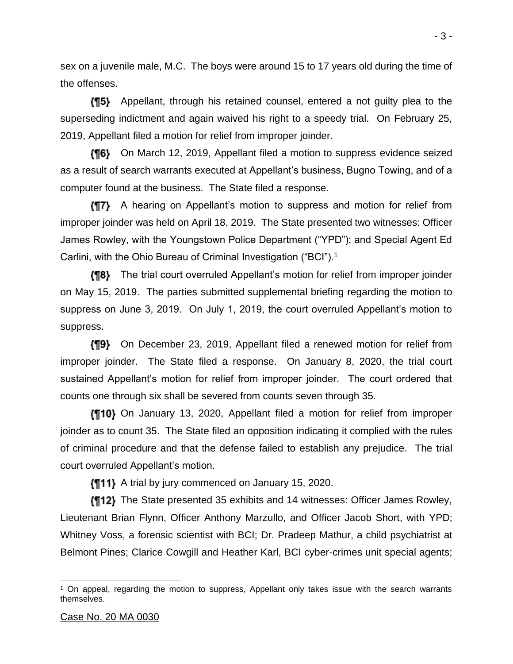sex on a juvenile male, M.C. The boys were around 15 to 17 years old during the time of the offenses.

Appellant, through his retained counsel, entered a not guilty plea to the superseding indictment and again waived his right to a speedy trial. On February 25, 2019, Appellant filed a motion for relief from improper joinder.

**{¶6}** On March 12, 2019, Appellant filed a motion to suppress evidence seized as a result of search warrants executed at Appellant's business, Bugno Towing, and of a computer found at the business. The State filed a response.

A hearing on Appellant's motion to suppress and motion for relief from improper joinder was held on April 18, 2019. The State presented two witnesses: Officer James Rowley, with the Youngstown Police Department ("YPD"); and Special Agent Ed Carlini, with the Ohio Bureau of Criminal Investigation ("BCI").<sup>1</sup>

**{¶8}** The trial court overruled Appellant's motion for relief from improper joinder on May 15, 2019. The parties submitted supplemental briefing regarding the motion to suppress on June 3, 2019. On July 1, 2019, the court overruled Appellant's motion to suppress.

On December 23, 2019, Appellant filed a renewed motion for relief from improper joinder. The State filed a response. On January 8, 2020, the trial court sustained Appellant's motion for relief from improper joinder. The court ordered that counts one through six shall be severed from counts seven through 35.

On January 13, 2020, Appellant filed a motion for relief from improper joinder as to count 35. The State filed an opposition indicating it complied with the rules of criminal procedure and that the defense failed to establish any prejudice. The trial court overruled Appellant's motion.

 $\{\P11\}$  A trial by jury commenced on January 15, 2020.

The State presented 35 exhibits and 14 witnesses: Officer James Rowley, Lieutenant Brian Flynn, Officer Anthony Marzullo, and Officer Jacob Short, with YPD; Whitney Voss, a forensic scientist with BCI; Dr. Pradeep Mathur, a child psychiatrist at Belmont Pines; Clarice Cowgill and Heather Karl, BCI cyber-crimes unit special agents;

<sup>1</sup> On appeal, regarding the motion to suppress, Appellant only takes issue with the search warrants themselves.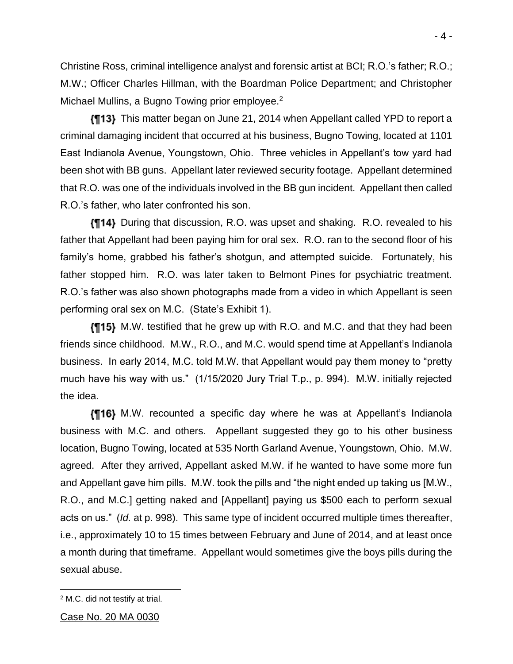Christine Ross, criminal intelligence analyst and forensic artist at BCI; R.O.'s father; R.O.; M.W.; Officer Charles Hillman, with the Boardman Police Department; and Christopher Michael Mullins, a Bugno Towing prior employee.<sup>2</sup>

This matter began on June 21, 2014 when Appellant called YPD to report a criminal damaging incident that occurred at his business, Bugno Towing, located at 1101 East Indianola Avenue, Youngstown, Ohio. Three vehicles in Appellant's tow yard had been shot with BB guns. Appellant later reviewed security footage. Appellant determined that R.O. was one of the individuals involved in the BB gun incident. Appellant then called R.O.'s father, who later confronted his son.

During that discussion, R.O. was upset and shaking. R.O. revealed to his father that Appellant had been paying him for oral sex. R.O. ran to the second floor of his family's home, grabbed his father's shotgun, and attempted suicide. Fortunately, his father stopped him. R.O. was later taken to Belmont Pines for psychiatric treatment. R.O.'s father was also shown photographs made from a video in which Appellant is seen performing oral sex on M.C. (State's Exhibit 1).

M.W. testified that he grew up with R.O. and M.C. and that they had been friends since childhood. M.W., R.O., and M.C. would spend time at Appellant's Indianola business. In early 2014, M.C. told M.W. that Appellant would pay them money to "pretty much have his way with us." (1/15/2020 Jury Trial T.p., p. 994). M.W. initially rejected the idea.

M.W. recounted a specific day where he was at Appellant's Indianola business with M.C. and others. Appellant suggested they go to his other business location, Bugno Towing, located at 535 North Garland Avenue, Youngstown, Ohio. M.W. agreed. After they arrived, Appellant asked M.W. if he wanted to have some more fun and Appellant gave him pills. M.W. took the pills and "the night ended up taking us [M.W., R.O., and M.C.] getting naked and [Appellant] paying us \$500 each to perform sexual acts on us." (*Id.* at p. 998). This same type of incident occurred multiple times thereafter, i.e., approximately 10 to 15 times between February and June of 2014, and at least once a month during that timeframe. Appellant would sometimes give the boys pills during the sexual abuse.

<sup>2</sup> M.C. did not testify at trial.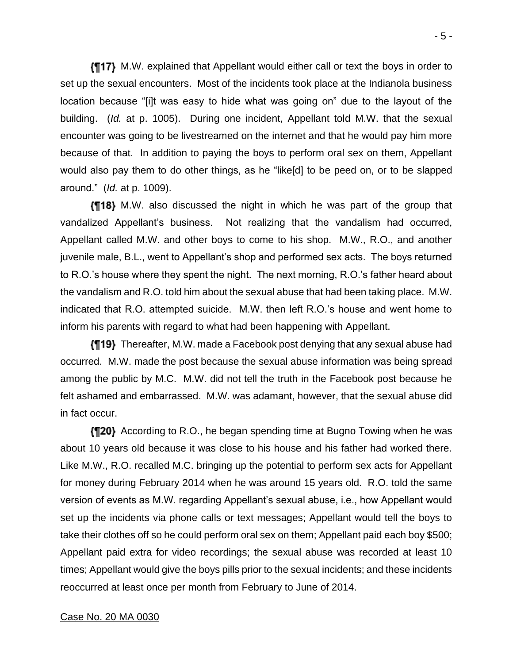M.W. explained that Appellant would either call or text the boys in order to set up the sexual encounters. Most of the incidents took place at the Indianola business location because "[i]t was easy to hide what was going on" due to the layout of the building. (*Id.* at p. 1005). During one incident, Appellant told M.W. that the sexual encounter was going to be livestreamed on the internet and that he would pay him more because of that. In addition to paying the boys to perform oral sex on them, Appellant would also pay them to do other things, as he "like[d] to be peed on, or to be slapped around." (*Id.* at p. 1009).

M.W. also discussed the night in which he was part of the group that vandalized Appellant's business. Not realizing that the vandalism had occurred, Appellant called M.W. and other boys to come to his shop. M.W., R.O., and another juvenile male, B.L., went to Appellant's shop and performed sex acts. The boys returned to R.O.'s house where they spent the night. The next morning, R.O.'s father heard about the vandalism and R.O. told him about the sexual abuse that had been taking place. M.W. indicated that R.O. attempted suicide. M.W. then left R.O.'s house and went home to inform his parents with regard to what had been happening with Appellant.

**{¶19}** Thereafter, M.W. made a Facebook post denying that any sexual abuse had occurred. M.W. made the post because the sexual abuse information was being spread among the public by M.C. M.W. did not tell the truth in the Facebook post because he felt ashamed and embarrassed. M.W. was adamant, however, that the sexual abuse did in fact occur.

**{¶20}** According to R.O., he began spending time at Bugno Towing when he was about 10 years old because it was close to his house and his father had worked there. Like M.W., R.O. recalled M.C. bringing up the potential to perform sex acts for Appellant for money during February 2014 when he was around 15 years old. R.O. told the same version of events as M.W. regarding Appellant's sexual abuse, i.e., how Appellant would set up the incidents via phone calls or text messages; Appellant would tell the boys to take their clothes off so he could perform oral sex on them; Appellant paid each boy \$500; Appellant paid extra for video recordings; the sexual abuse was recorded at least 10 times; Appellant would give the boys pills prior to the sexual incidents; and these incidents reoccurred at least once per month from February to June of 2014.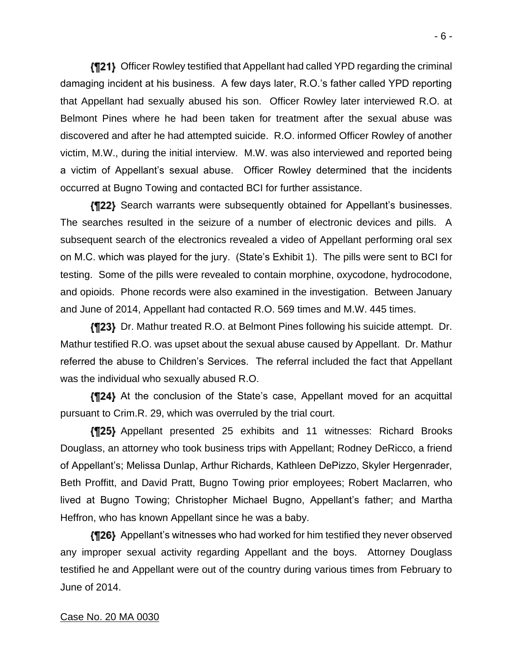Officer Rowley testified that Appellant had called YPD regarding the criminal damaging incident at his business. A few days later, R.O.'s father called YPD reporting that Appellant had sexually abused his son. Officer Rowley later interviewed R.O. at Belmont Pines where he had been taken for treatment after the sexual abuse was discovered and after he had attempted suicide. R.O. informed Officer Rowley of another victim, M.W., during the initial interview. M.W. was also interviewed and reported being a victim of Appellant's sexual abuse. Officer Rowley determined that the incidents occurred at Bugno Towing and contacted BCI for further assistance.

**{¶22}** Search warrants were subsequently obtained for Appellant's businesses. The searches resulted in the seizure of a number of electronic devices and pills. A subsequent search of the electronics revealed a video of Appellant performing oral sex on M.C. which was played for the jury. (State's Exhibit 1). The pills were sent to BCI for testing. Some of the pills were revealed to contain morphine, oxycodone, hydrocodone, and opioids. Phone records were also examined in the investigation. Between January and June of 2014, Appellant had contacted R.O. 569 times and M.W. 445 times.

**{¶23}** Dr. Mathur treated R.O. at Belmont Pines following his suicide attempt. Dr. Mathur testified R.O. was upset about the sexual abuse caused by Appellant. Dr. Mathur referred the abuse to Children's Services. The referral included the fact that Appellant was the individual who sexually abused R.O.

At the conclusion of the State's case, Appellant moved for an acquittal pursuant to Crim.R. 29, which was overruled by the trial court.

Appellant presented 25 exhibits and 11 witnesses: Richard Brooks Douglass, an attorney who took business trips with Appellant; Rodney DeRicco, a friend of Appellant's; Melissa Dunlap, Arthur Richards, Kathleen DePizzo, Skyler Hergenrader, Beth Proffitt, and David Pratt, Bugno Towing prior employees; Robert Maclarren, who lived at Bugno Towing; Christopher Michael Bugno, Appellant's father; and Martha Heffron, who has known Appellant since he was a baby.

Appellant's witnesses who had worked for him testified they never observed any improper sexual activity regarding Appellant and the boys. Attorney Douglass testified he and Appellant were out of the country during various times from February to June of 2014.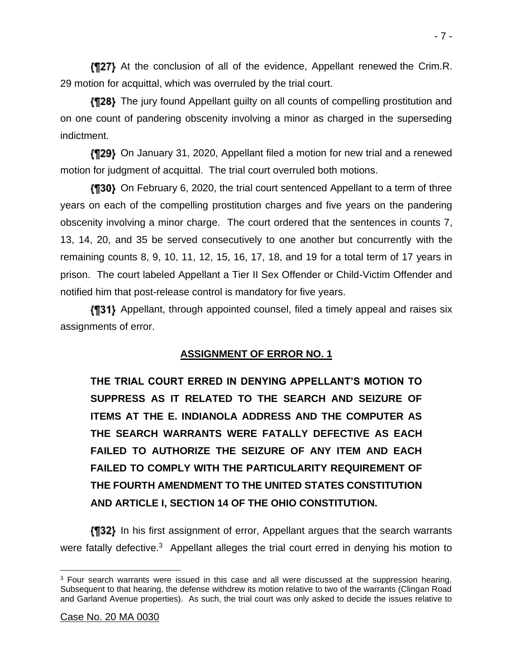At the conclusion of all of the evidence, Appellant renewed the Crim.R. 29 motion for acquittal, which was overruled by the trial court.

The jury found Appellant guilty on all counts of compelling prostitution and on one count of pandering obscenity involving a minor as charged in the superseding indictment.

On January 31, 2020, Appellant filed a motion for new trial and a renewed motion for judgment of acquittal. The trial court overruled both motions.

**(130)** On February 6, 2020, the trial court sentenced Appellant to a term of three years on each of the compelling prostitution charges and five years on the pandering obscenity involving a minor charge. The court ordered that the sentences in counts 7, 13, 14, 20, and 35 be served consecutively to one another but concurrently with the remaining counts 8, 9, 10, 11, 12, 15, 16, 17, 18, and 19 for a total term of 17 years in prison. The court labeled Appellant a Tier II Sex Offender or Child-Victim Offender and notified him that post-release control is mandatory for five years.

Appellant, through appointed counsel, filed a timely appeal and raises six assignments of error.

## **ASSIGNMENT OF ERROR NO. 1**

**THE TRIAL COURT ERRED IN DENYING APPELLANT'S MOTION TO SUPPRESS AS IT RELATED TO THE SEARCH AND SEIZURE OF ITEMS AT THE E. INDIANOLA ADDRESS AND THE COMPUTER AS THE SEARCH WARRANTS WERE FATALLY DEFECTIVE AS EACH FAILED TO AUTHORIZE THE SEIZURE OF ANY ITEM AND EACH FAILED TO COMPLY WITH THE PARTICULARITY REQUIREMENT OF THE FOURTH AMENDMENT TO THE UNITED STATES CONSTITUTION AND ARTICLE I, SECTION 14 OF THE OHIO CONSTITUTION.**

**IT32)** In his first assignment of error, Appellant argues that the search warrants were fatally defective.<sup>3</sup> Appellant alleges the trial court erred in denying his motion to

<sup>&</sup>lt;sup>3</sup> Four search warrants were issued in this case and all were discussed at the suppression hearing. Subsequent to that hearing, the defense withdrew its motion relative to two of the warrants (Clingan Road and Garland Avenue properties). As such, the trial court was only asked to decide the issues relative to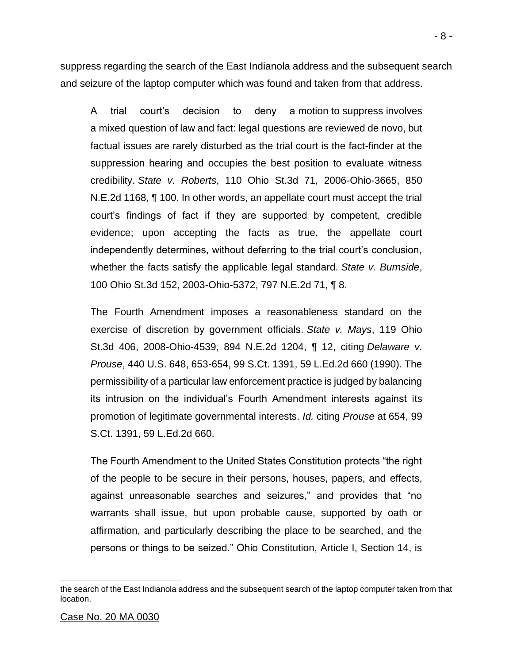suppress regarding the search of the East Indianola address and the subsequent search and seizure of the laptop computer which was found and taken from that address.

A trial court's decision to deny a motion to suppress involves a mixed question of law and fact: legal questions are reviewed de novo, but factual issues are rarely disturbed as the trial court is the fact-finder at the suppression hearing and occupies the best position to evaluate witness credibility. *State v. Roberts*, 110 Ohio St.3d 71, 2006-Ohio-3665, 850 N.E.2d 1168, ¶ 100. In other words, an appellate court must accept the trial court's findings of fact if they are supported by competent, credible evidence; upon accepting the facts as true, the appellate court independently determines, without deferring to the trial court's conclusion, whether the facts satisfy the applicable legal standard. *State v. Burnside*, 100 Ohio St.3d 152, 2003-Ohio-5372, 797 N.E.2d 71, ¶ 8.

The Fourth Amendment imposes a reasonableness standard on the exercise of discretion by government officials. *State v. Mays*, 119 Ohio St.3d 406, 2008-Ohio-4539, 894 N.E.2d 1204, ¶ 12, citing *Delaware v. Prouse*, 440 U.S. 648, 653-654, 99 S.Ct. 1391, 59 L.Ed.2d 660 (1990). The permissibility of a particular law enforcement practice is judged by balancing its intrusion on the individual's Fourth Amendment interests against its promotion of legitimate governmental interests. *Id.* citing *Prouse* at 654, 99 S.Ct. 1391, 59 L.Ed.2d 660.

The Fourth Amendment to the United States Constitution protects "the right of the people to be secure in their persons, houses, papers, and effects, against unreasonable searches and seizures," and provides that "no warrants shall issue, but upon probable cause, supported by oath or affirmation, and particularly describing the place to be searched, and the persons or things to be seized." Ohio Constitution, Article I, Section 14, is

the search of the East Indianola address and the subsequent search of the laptop computer taken from that location.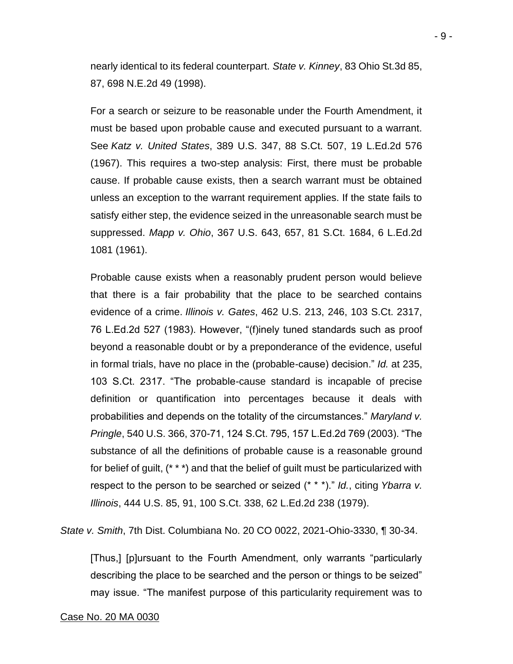nearly identical to its federal counterpart. *State v. Kinney*, 83 Ohio St.3d 85, 87, 698 N.E.2d 49 (1998).

For a search or seizure to be reasonable under the Fourth Amendment, it must be based upon probable cause and executed pursuant to a warrant. See *Katz v. United States*, 389 U.S. 347, 88 S.Ct. 507, 19 L.Ed.2d 576 (1967). This requires a two-step analysis: First, there must be probable cause. If probable cause exists, then a search warrant must be obtained unless an exception to the warrant requirement applies. If the state fails to satisfy either step, the evidence seized in the unreasonable search must be suppressed. *Mapp v. Ohio*, 367 U.S. 643, 657, 81 S.Ct. 1684, 6 L.Ed.2d 1081 (1961).

Probable cause exists when a reasonably prudent person would believe that there is a fair probability that the place to be searched contains evidence of a crime. *Illinois v. Gates*, 462 U.S. 213, 246, 103 S.Ct. 2317, 76 L.Ed.2d 527 (1983). However, "(f)inely tuned standards such as proof beyond a reasonable doubt or by a preponderance of the evidence, useful in formal trials, have no place in the (probable-cause) decision." *Id.* at 235, 103 S.Ct. 2317. "The probable-cause standard is incapable of precise definition or quantification into percentages because it deals with probabilities and depends on the totality of the circumstances." *Maryland v. Pringle*, 540 U.S. 366, 370-71, 124 S.Ct. 795, 157 L.Ed.2d 769 (2003). "The substance of all the definitions of probable cause is a reasonable ground for belief of guilt, (\* \* \*) and that the belief of guilt must be particularized with respect to the person to be searched or seized (\* \* \*)." *Id.*, citing *Ybarra v. Illinois*, 444 U.S. 85, 91, 100 S.Ct. 338, 62 L.Ed.2d 238 (1979).

*State v. Smith*, 7th Dist. Columbiana No. 20 CO 0022, 2021-Ohio-3330, ¶ 30-34.

[Thus,] [p]ursuant to the Fourth Amendment, only warrants "particularly describing the place to be searched and the person or things to be seized" may issue. "The manifest purpose of this particularity requirement was to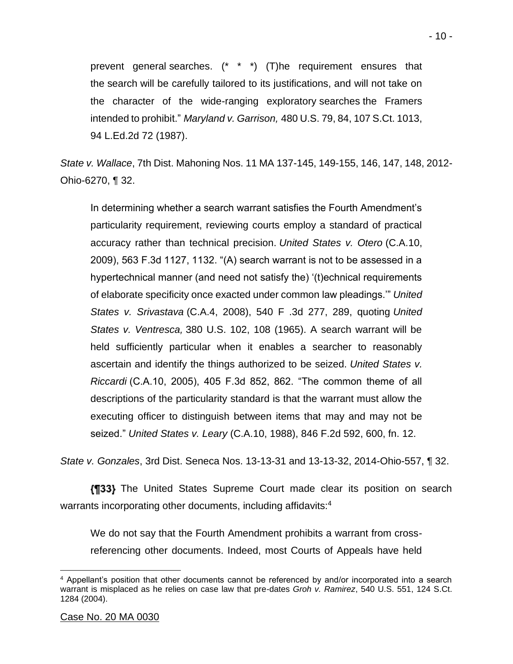prevent general searches. (\* \* \*) (T)he requirement ensures that the search will be carefully tailored to its justifications, and will not take on the character of the wide-ranging exploratory searches the Framers intended to prohibit." *Maryland v. Garrison,* 480 U.S. 79, 84, 107 S.Ct. 1013, 94 L.Ed.2d 72 (1987).

*State v. Wallace*, 7th Dist. Mahoning Nos. 11 MA 137-145, 149-155, 146, 147, 148, 2012- Ohio-6270, ¶ 32.

In determining whether a search warrant satisfies the Fourth Amendment's particularity requirement, reviewing courts employ a standard of practical accuracy rather than technical precision. *United States v. Otero* (C.A.10, 2009), 563 F.3d 1127, 1132. "(A) search warrant is not to be assessed in a hypertechnical manner (and need not satisfy the) '(t)echnical requirements of elaborate specificity once exacted under common law pleadings.'" *United States v. Srivastava* (C.A.4, 2008), 540 F .3d 277, 289, quoting *United States v. Ventresca,* 380 U.S. 102, 108 (1965). A search warrant will be held sufficiently particular when it enables a searcher to reasonably ascertain and identify the things authorized to be seized. *United States v. Riccardi* (C.A.10, 2005), 405 F.3d 852, 862. "The common theme of all descriptions of the particularity standard is that the warrant must allow the executing officer to distinguish between items that may and may not be seized." *United States v. Leary* (C.A.10, 1988), 846 F.2d 592, 600, fn. 12.

*State v. Gonzales*, 3rd Dist. Seneca Nos. 13-13-31 and 13-13-32, 2014-Ohio-557, ¶ 32.

**{¶33}** The United States Supreme Court made clear its position on search warrants incorporating other documents, including affidavits:<sup>4</sup>

We do not say that the Fourth Amendment prohibits a warrant from crossreferencing other documents. Indeed, most Courts of Appeals have held

<sup>4</sup> Appellant's position that other documents cannot be referenced by and/or incorporated into a search warrant is misplaced as he relies on case law that pre-dates *Groh v. Ramirez*, 540 U.S. 551, 124 S.Ct. 1284 (2004).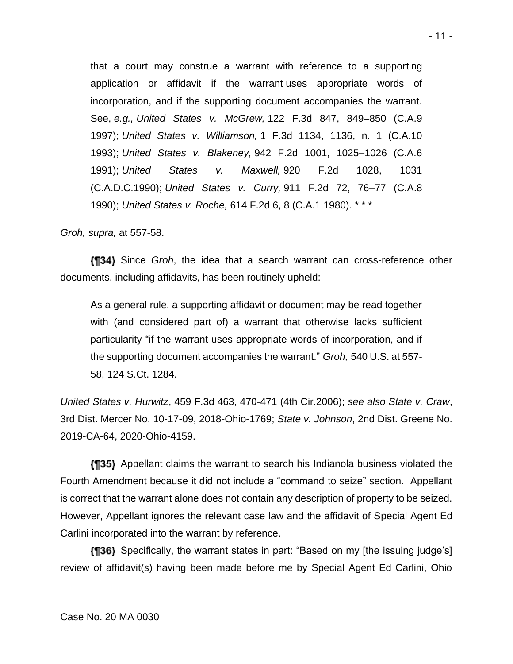that a court may construe a warrant with reference to a supporting application or affidavit if the warrant uses appropriate words of incorporation, and if the supporting document accompanies the warrant. See, *e.g., United States v. McGrew,* 122 F.3d 847, 849–850 (C.A.9 1997); *United States v. Williamson,* 1 F.3d 1134, 1136, n. 1 (C.A.10 1993); *United States v. Blakeney,* 942 F.2d 1001, 1025–1026 (C.A.6 1991); *United States v. Maxwell,* 920 F.2d 1028, 1031 (C.A.D.C.1990); *United States v. Curry,* 911 F.2d 72, 76–77 (C.A.8 1990); *United States v. Roche,* 614 F.2d 6, 8 (C.A.1 1980). \* \* \*

*Groh, supra,* at 557-58.

Since *Groh*, the idea that a search warrant can cross-reference other documents, including affidavits, has been routinely upheld:

As a general rule, a supporting affidavit or document may be read together with (and considered part of) a warrant that otherwise lacks sufficient particularity "if the warrant uses appropriate words of incorporation, and if the supporting document accompanies the warrant." *Groh,* 540 U.S. at 557- 58, 124 S.Ct. 1284.

*United States v. Hurwitz*, 459 F.3d 463, 470-471 (4th Cir.2006); *see also State v. Craw*, 3rd Dist. Mercer No. 10-17-09, 2018-Ohio-1769; *State v. Johnson*, 2nd Dist. Greene No. 2019-CA-64, 2020-Ohio-4159.

Appellant claims the warrant to search his Indianola business violated the Fourth Amendment because it did not include a "command to seize" section. Appellant is correct that the warrant alone does not contain any description of property to be seized. However, Appellant ignores the relevant case law and the affidavit of Special Agent Ed Carlini incorporated into the warrant by reference.

**(136)** Specifically, the warrant states in part: "Based on my [the issuing judge's] review of affidavit(s) having been made before me by Special Agent Ed Carlini, Ohio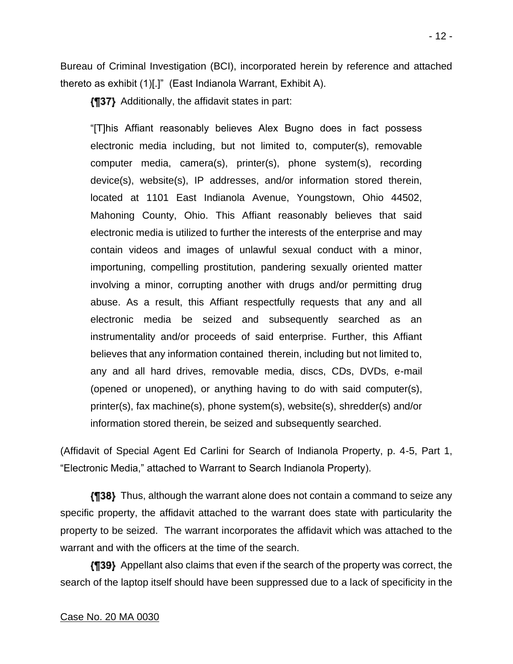Bureau of Criminal Investigation (BCI), incorporated herein by reference and attached thereto as exhibit (1)[.]" (East Indianola Warrant, Exhibit A).

**{¶37}** Additionally, the affidavit states in part:

"[T]his Affiant reasonably believes Alex Bugno does in fact possess electronic media including, but not limited to, computer(s), removable computer media, camera(s), printer(s), phone system(s), recording device(s), website(s), IP addresses, and/or information stored therein, located at 1101 East Indianola Avenue, Youngstown, Ohio 44502, Mahoning County, Ohio. This Affiant reasonably believes that said electronic media is utilized to further the interests of the enterprise and may contain videos and images of unlawful sexual conduct with a minor, importuning, compelling prostitution, pandering sexually oriented matter involving a minor, corrupting another with drugs and/or permitting drug abuse. As a result, this Affiant respectfully requests that any and all electronic media be seized and subsequently searched as an instrumentality and/or proceeds of said enterprise. Further, this Affiant believes that any information contained therein, including but not limited to, any and all hard drives, removable media, discs, CDs, DVDs, e-mail (opened or unopened), or anything having to do with said computer(s), printer(s), fax machine(s), phone system(s), website(s), shredder(s) and/or information stored therein, be seized and subsequently searched.

(Affidavit of Special Agent Ed Carlini for Search of Indianola Property, p. 4-5, Part 1, "Electronic Media," attached to Warrant to Search Indianola Property).

Thus, although the warrant alone does not contain a command to seize any specific property, the affidavit attached to the warrant does state with particularity the property to be seized. The warrant incorporates the affidavit which was attached to the warrant and with the officers at the time of the search.

Appellant also claims that even if the search of the property was correct, the search of the laptop itself should have been suppressed due to a lack of specificity in the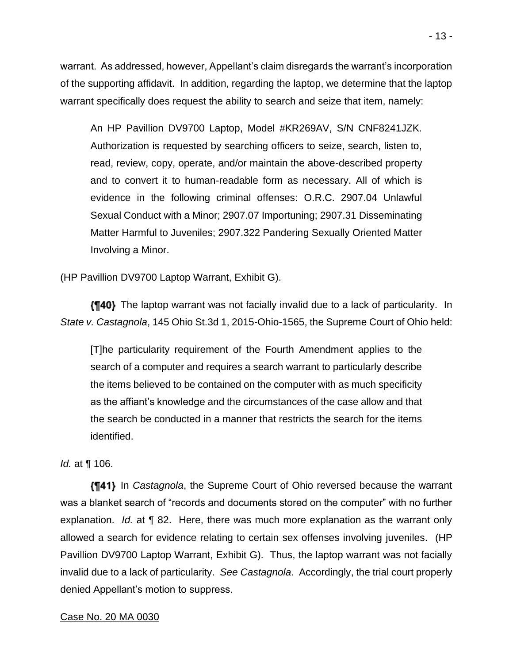warrant. As addressed, however, Appellant's claim disregards the warrant's incorporation of the supporting affidavit. In addition, regarding the laptop, we determine that the laptop warrant specifically does request the ability to search and seize that item, namely:

An HP Pavillion DV9700 Laptop, Model #KR269AV, S/N CNF8241JZK. Authorization is requested by searching officers to seize, search, listen to, read, review, copy, operate, and/or maintain the above-described property and to convert it to human-readable form as necessary. All of which is evidence in the following criminal offenses: O.R.C. 2907.04 Unlawful Sexual Conduct with a Minor; 2907.07 Importuning; 2907.31 Disseminating Matter Harmful to Juveniles; 2907.322 Pandering Sexually Oriented Matter Involving a Minor.

(HP Pavillion DV9700 Laptop Warrant, Exhibit G).

The laptop warrant was not facially invalid due to a lack of particularity. In *State v. Castagnola*, 145 Ohio St.3d 1, 2015-Ohio-1565, the Supreme Court of Ohio held:

[T]he particularity requirement of the Fourth Amendment applies to the search of a computer and requires a search warrant to particularly describe the items believed to be contained on the computer with as much specificity as the affiant's knowledge and the circumstances of the case allow and that the search be conducted in a manner that restricts the search for the items identified.

## *Id.* at ¶ 106.

**[¶41]** In *Castagnola*, the Supreme Court of Ohio reversed because the warrant was a blanket search of "records and documents stored on the computer" with no further explanation. *Id.* at ¶ 82. Here, there was much more explanation as the warrant only allowed a search for evidence relating to certain sex offenses involving juveniles. (HP Pavillion DV9700 Laptop Warrant, Exhibit G). Thus, the laptop warrant was not facially invalid due to a lack of particularity. *See Castagnola*. Accordingly, the trial court properly denied Appellant's motion to suppress.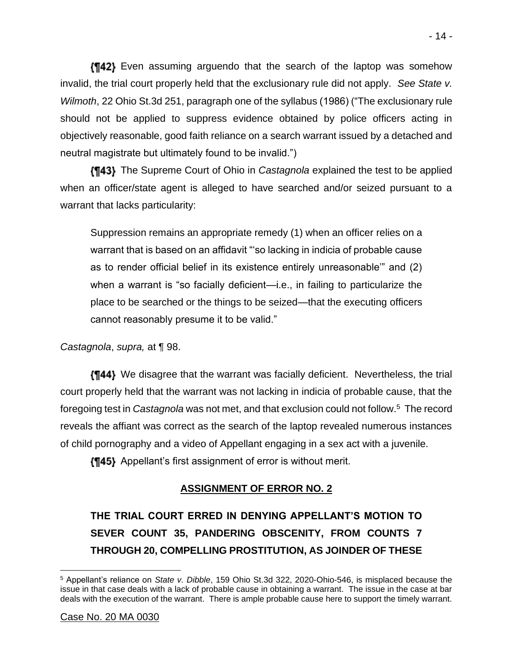Even assuming arguendo that the search of the laptop was somehow invalid, the trial court properly held that the exclusionary rule did not apply. *See State v. Wilmoth*, 22 Ohio St.3d 251, paragraph one of the syllabus (1986) ("The exclusionary rule should not be applied to suppress evidence obtained by police officers acting in objectively reasonable, good faith reliance on a search warrant issued by a detached and neutral magistrate but ultimately found to be invalid.")

The Supreme Court of Ohio in *Castagnola* explained the test to be applied when an officer/state agent is alleged to have searched and/or seized pursuant to a warrant that lacks particularity:

Suppression remains an appropriate remedy (1) when an officer relies on a warrant that is based on an affidavit "'so lacking in indicia of probable cause as to render official belief in its existence entirely unreasonable'" and (2) when a warrant is "so facially deficient—i.e., in failing to particularize the place to be searched or the things to be seized—that the executing officers cannot reasonably presume it to be valid."

*Castagnola*, *supra,* at ¶ 98.

We disagree that the warrant was facially deficient. Nevertheless, the trial court properly held that the warrant was not lacking in indicia of probable cause, that the foregoing test in *Castagnola* was not met, and that exclusion could not follow.<sup>5</sup> The record reveals the affiant was correct as the search of the laptop revealed numerous instances of child pornography and a video of Appellant engaging in a sex act with a juvenile.

**{¶45}** Appellant's first assignment of error is without merit.

## **ASSIGNMENT OF ERROR NO. 2**

**THE TRIAL COURT ERRED IN DENYING APPELLANT'S MOTION TO SEVER COUNT 35, PANDERING OBSCENITY, FROM COUNTS 7 THROUGH 20, COMPELLING PROSTITUTION, AS JOINDER OF THESE** 

<sup>5</sup> Appellant's reliance on *State v. Dibble*, 159 Ohio St.3d 322, 2020-Ohio-546, is misplaced because the issue in that case deals with a lack of probable cause in obtaining a warrant. The issue in the case at bar deals with the execution of the warrant. There is ample probable cause here to support the timely warrant.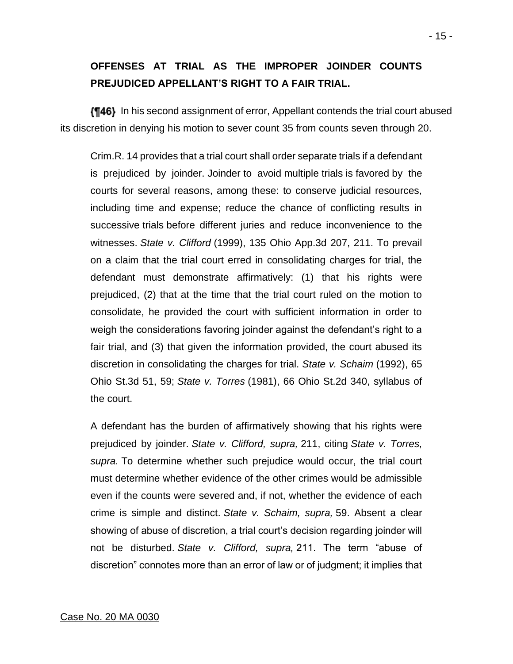## **OFFENSES AT TRIAL AS THE IMPROPER JOINDER COUNTS PREJUDICED APPELLANT'S RIGHT TO A FAIR TRIAL.**

**[146]** In his second assignment of error, Appellant contends the trial court abused its discretion in denying his motion to sever count 35 from counts seven through 20.

Crim.R. 14 provides that a trial court shall order separate trials if a defendant is prejudiced by joinder. Joinder to avoid multiple trials is favored by the courts for several reasons, among these: to conserve judicial resources, including time and expense; reduce the chance of conflicting results in successive trials before different juries and reduce inconvenience to the witnesses. *State v. Clifford* (1999), 135 Ohio App.3d 207, 211. To prevail on a claim that the trial court erred in consolidating charges for trial, the defendant must demonstrate affirmatively: (1) that his rights were prejudiced, (2) that at the time that the trial court ruled on the motion to consolidate, he provided the court with sufficient information in order to weigh the considerations favoring joinder against the defendant's right to a fair trial, and (3) that given the information provided, the court abused its discretion in consolidating the charges for trial. *State v. Schaim* (1992), 65 Ohio St.3d 51, 59; *State v. Torres* (1981), 66 Ohio St.2d 340, syllabus of the court.

A defendant has the burden of affirmatively showing that his rights were prejudiced by joinder. *State v. Clifford, supra,* 211, citing *State v. Torres, supra.* To determine whether such prejudice would occur, the trial court must determine whether evidence of the other crimes would be admissible even if the counts were severed and, if not, whether the evidence of each crime is simple and distinct. *State v. Schaim, supra,* 59. Absent a clear showing of abuse of discretion, a trial court's decision regarding joinder will not be disturbed. *State v. Clifford, supra,* 211. The term "abuse of discretion" connotes more than an error of law or of judgment; it implies that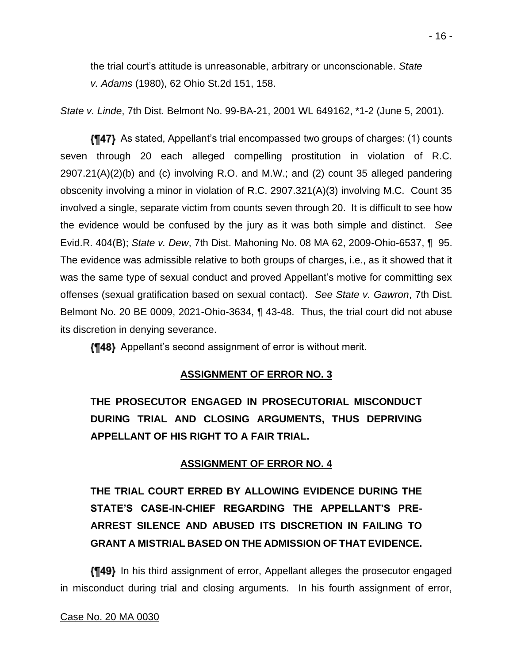the trial court's attitude is unreasonable, arbitrary or unconscionable. *State v. Adams* (1980), 62 Ohio St.2d 151, 158.

*State v. Linde*, 7th Dist. Belmont No. 99-BA-21, 2001 WL 649162, \*1-2 (June 5, 2001).

As stated, Appellant's trial encompassed two groups of charges: (1) counts seven through 20 each alleged compelling prostitution in violation of R.C. 2907.21(A)(2)(b) and (c) involving R.O. and M.W.; and (2) count 35 alleged pandering obscenity involving a minor in violation of R.C. 2907.321(A)(3) involving M.C. Count 35 involved a single, separate victim from counts seven through 20. It is difficult to see how the evidence would be confused by the jury as it was both simple and distinct. *See*  Evid.R. 404(B); *State v. Dew*, 7th Dist. Mahoning No. 08 MA 62, 2009-Ohio-6537, ¶ 95. The evidence was admissible relative to both groups of charges, i.e., as it showed that it was the same type of sexual conduct and proved Appellant's motive for committing sex offenses (sexual gratification based on sexual contact). *See State v. Gawron*, 7th Dist. Belmont No. 20 BE 0009, 2021-Ohio-3634, ¶ 43-48. Thus, the trial court did not abuse its discretion in denying severance.

**{¶48}** Appellant's second assignment of error is without merit.

## **ASSIGNMENT OF ERROR NO. 3**

**THE PROSECUTOR ENGAGED IN PROSECUTORIAL MISCONDUCT DURING TRIAL AND CLOSING ARGUMENTS, THUS DEPRIVING APPELLANT OF HIS RIGHT TO A FAIR TRIAL.**

## **ASSIGNMENT OF ERROR NO. 4**

**THE TRIAL COURT ERRED BY ALLOWING EVIDENCE DURING THE STATE'S CASE-IN-CHIEF REGARDING THE APPELLANT'S PRE-ARREST SILENCE AND ABUSED ITS DISCRETION IN FAILING TO GRANT A MISTRIAL BASED ON THE ADMISSION OF THAT EVIDENCE.**

**{¶49}** In his third assignment of error, Appellant alleges the prosecutor engaged in misconduct during trial and closing arguments. In his fourth assignment of error,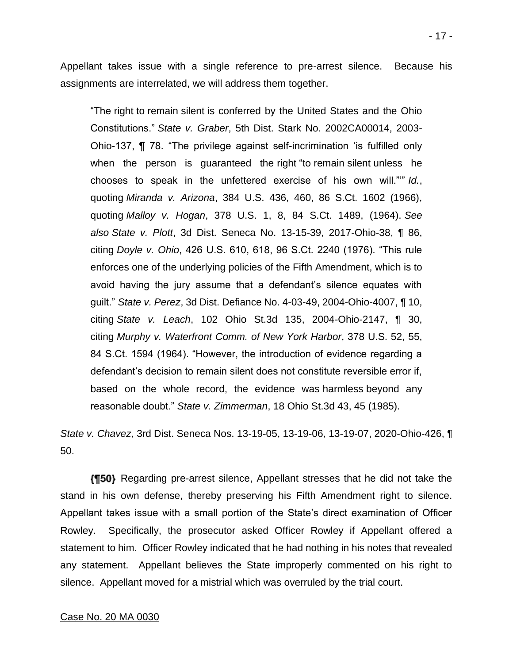Appellant takes issue with a single reference to pre-arrest silence. Because his assignments are interrelated, we will address them together.

"The right to remain silent is conferred by the United States and the Ohio Constitutions." *State v. Graber*, 5th Dist. Stark No. 2002CA00014, 2003- Ohio-137, ¶ 78. "The privilege against self-incrimination 'is fulfilled only when the person is guaranteed the right "to remain silent unless he chooses to speak in the unfettered exercise of his own will."'" *Id.*, quoting *Miranda v. Arizona*, 384 U.S. 436, 460, 86 S.Ct. 1602 (1966), quoting *Malloy v. Hogan*, 378 U.S. 1, 8, 84 S.Ct. 1489, (1964). *See also State v. Plott*, 3d Dist. Seneca No. 13-15-39, 2017-Ohio-38, ¶ 86, citing *Doyle v. Ohio*, 426 U.S. 610, 618, 96 S.Ct. 2240 (1976). "This rule enforces one of the underlying policies of the Fifth Amendment, which is to avoid having the jury assume that a defendant's silence equates with guilt." *State v. Perez*, 3d Dist. Defiance No. 4-03-49, 2004-Ohio-4007, ¶ 10, citing *State v. Leach*, 102 Ohio St.3d 135, 2004-Ohio-2147, ¶ 30, citing *Murphy v. Waterfront Comm. of New York Harbor*, 378 U.S. 52, 55, 84 S.Ct. 1594 (1964). "However, the introduction of evidence regarding a defendant's decision to remain silent does not constitute reversible error if, based on the whole record, the evidence was harmless beyond any reasonable doubt." *State v. Zimmerman*, 18 Ohio St.3d 43, 45 (1985).

*State v. Chavez*, 3rd Dist. Seneca Nos. 13-19-05, 13-19-06, 13-19-07, 2020-Ohio-426, ¶ 50.

**(150)** Regarding pre-arrest silence, Appellant stresses that he did not take the stand in his own defense, thereby preserving his Fifth Amendment right to silence. Appellant takes issue with a small portion of the State's direct examination of Officer Rowley. Specifically, the prosecutor asked Officer Rowley if Appellant offered a statement to him. Officer Rowley indicated that he had nothing in his notes that revealed any statement. Appellant believes the State improperly commented on his right to silence. Appellant moved for a mistrial which was overruled by the trial court.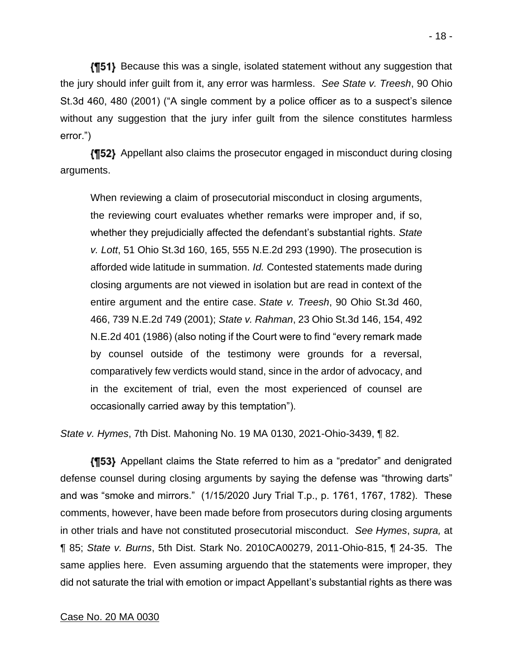**(151)** Because this was a single, isolated statement without any suggestion that the jury should infer guilt from it, any error was harmless. *See State v. Treesh*, 90 Ohio St.3d 460, 480 (2001) ("A single comment by a police officer as to a suspect's silence without any suggestion that the jury infer guilt from the silence constitutes harmless error.")

Appellant also claims the prosecutor engaged in misconduct during closing arguments.

When reviewing a claim of prosecutorial misconduct in closing arguments, the reviewing court evaluates whether remarks were improper and, if so, whether they prejudicially affected the defendant's substantial rights. *State v. Lott*, 51 Ohio St.3d 160, 165, 555 N.E.2d 293 (1990). The prosecution is afforded wide latitude in summation. *Id.* Contested statements made during closing arguments are not viewed in isolation but are read in context of the entire argument and the entire case. *State v. Treesh*, 90 Ohio St.3d 460, 466, 739 N.E.2d 749 (2001); *State v. Rahman*, 23 Ohio St.3d 146, 154, 492 N.E.2d 401 (1986) (also noting if the Court were to find "every remark made by counsel outside of the testimony were grounds for a reversal, comparatively few verdicts would stand, since in the ardor of advocacy, and in the excitement of trial, even the most experienced of counsel are occasionally carried away by this temptation").

*State v. Hymes*, 7th Dist. Mahoning No. 19 MA 0130, 2021-Ohio-3439, ¶ 82.

Appellant claims the State referred to him as a "predator" and denigrated defense counsel during closing arguments by saying the defense was "throwing darts" and was "smoke and mirrors." (1/15/2020 Jury Trial T.p., p. 1761, 1767, 1782). These comments, however, have been made before from prosecutors during closing arguments in other trials and have not constituted prosecutorial misconduct. *See Hymes*, *supra,* at ¶ 85; *State v. Burns*, 5th Dist. Stark No. 2010CA00279, 2011-Ohio-815, ¶ 24-35. The same applies here. Even assuming arguendo that the statements were improper, they did not saturate the trial with emotion or impact Appellant's substantial rights as there was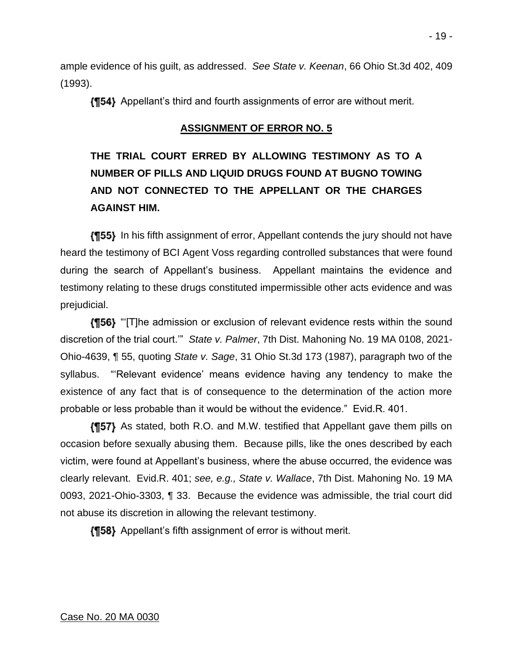ample evidence of his guilt, as addressed. *See State v. Keenan*, 66 Ohio St.3d 402, 409 (1993).

Appellant's third and fourth assignments of error are without merit.

## **ASSIGNMENT OF ERROR NO. 5**

# **THE TRIAL COURT ERRED BY ALLOWING TESTIMONY AS TO A NUMBER OF PILLS AND LIQUID DRUGS FOUND AT BUGNO TOWING AND NOT CONNECTED TO THE APPELLANT OR THE CHARGES AGAINST HIM.**

**In 55)** In his fifth assignment of error, Appellant contends the jury should not have heard the testimony of BCI Agent Voss regarding controlled substances that were found during the search of Appellant's business. Appellant maintains the evidence and testimony relating to these drugs constituted impermissible other acts evidence and was prejudicial.

**{¶56}** "[T]he admission or exclusion of relevant evidence rests within the sound discretion of the trial court.'" *State v. Palmer*, 7th Dist. Mahoning No. 19 MA 0108, 2021- Ohio-4639, ¶ 55, quoting *State v. Sage*, 31 Ohio St.3d 173 (1987), paragraph two of the syllabus. "'Relevant evidence' means evidence having any tendency to make the existence of any fact that is of consequence to the determination of the action more probable or less probable than it would be without the evidence." Evid.R. 401.

**{157}** As stated, both R.O. and M.W. testified that Appellant gave them pills on occasion before sexually abusing them. Because pills, like the ones described by each victim, were found at Appellant's business, where the abuse occurred, the evidence was clearly relevant. Evid.R. 401; *see, e.g., State v. Wallace*, 7th Dist. Mahoning No. 19 MA 0093, 2021-Ohio-3303, ¶ 33. Because the evidence was admissible, the trial court did not abuse its discretion in allowing the relevant testimony.

**{¶58}** Appellant's fifth assignment of error is without merit.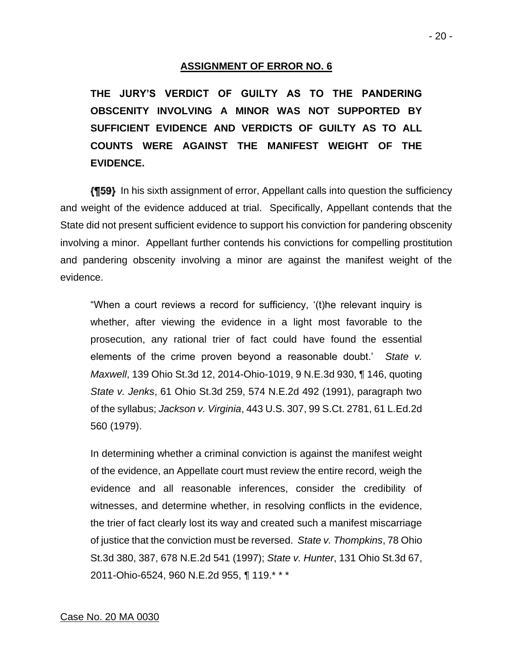### **ASSIGNMENT OF ERROR NO. 6**

**THE JURY'S VERDICT OF GUILTY AS TO THE PANDERING OBSCENITY INVOLVING A MINOR WAS NOT SUPPORTED BY SUFFICIENT EVIDENCE AND VERDICTS OF GUILTY AS TO ALL COUNTS WERE AGAINST THE MANIFEST WEIGHT OF THE EVIDENCE.**

**[159]** In his sixth assignment of error, Appellant calls into question the sufficiency and weight of the evidence adduced at trial. Specifically, Appellant contends that the State did not present sufficient evidence to support his conviction for pandering obscenity involving a minor. Appellant further contends his convictions for compelling prostitution and pandering obscenity involving a minor are against the manifest weight of the evidence.

"When a court reviews a record for sufficiency, '(t)he relevant inquiry is whether, after viewing the evidence in a light most favorable to the prosecution, any rational trier of fact could have found the essential elements of the crime proven beyond a reasonable doubt.' *State v. Maxwell*, 139 Ohio St.3d 12, 2014-Ohio-1019, 9 N.E.3d 930, ¶ 146, quoting *State v. Jenks*, 61 Ohio St.3d 259, 574 N.E.2d 492 (1991), paragraph two of the syllabus; *Jackson v. Virginia*, 443 U.S. 307, 99 S.Ct. 2781, 61 L.Ed.2d 560 (1979).

In determining whether a criminal conviction is against the manifest weight of the evidence, an Appellate court must review the entire record, weigh the evidence and all reasonable inferences, consider the credibility of witnesses, and determine whether, in resolving conflicts in the evidence, the trier of fact clearly lost its way and created such a manifest miscarriage of justice that the conviction must be reversed. *State v. Thompkins*, 78 Ohio St.3d 380, 387, 678 N.E.2d 541 (1997); *State v. Hunter*, 131 Ohio St.3d 67, 2011-Ohio-6524, 960 N.E.2d 955, ¶ 119.\* \* \*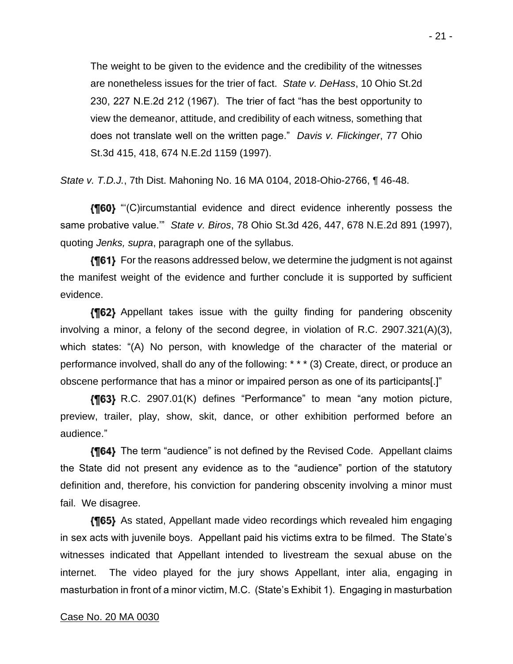The weight to be given to the evidence and the credibility of the witnesses are nonetheless issues for the trier of fact. *State v. DeHass*, 10 Ohio St.2d 230, 227 N.E.2d 212 (1967). The trier of fact "has the best opportunity to view the demeanor, attitude, and credibility of each witness, something that does not translate well on the written page." *Davis v. Flickinger*, 77 Ohio St.3d 415, 418, 674 N.E.2d 1159 (1997).

*State v. T.D.J.*, 7th Dist. Mahoning No. 16 MA 0104, 2018-Ohio-2766, ¶ 46-48.

"'(C)ircumstantial evidence and direct evidence inherently possess the same probative value.'" *State v. Biros*, 78 Ohio St.3d 426, 447, 678 N.E.2d 891 (1997), quoting *Jenks, supra*, paragraph one of the syllabus.

**{¶61}** For the reasons addressed below, we determine the judgment is not against the manifest weight of the evidence and further conclude it is supported by sufficient evidence.

**{[62}** Appellant takes issue with the guilty finding for pandering obscenity involving a minor, a felony of the second degree, in violation of R.C. 2907.321(A)(3), which states: "(A) No person, with knowledge of the character of the material or performance involved, shall do any of the following: \* \* \* (3) Create, direct, or produce an obscene performance that has a minor or impaired person as one of its participants[.]"

R.C. 2907.01(K) defines "Performance" to mean "any motion picture, preview, trailer, play, show, skit, dance, or other exhibition performed before an audience."

**{¶64}** The term "audience" is not defined by the Revised Code. Appellant claims the State did not present any evidence as to the "audience" portion of the statutory definition and, therefore, his conviction for pandering obscenity involving a minor must fail. We disagree.

**{¶65}** As stated, Appellant made video recordings which revealed him engaging in sex acts with juvenile boys. Appellant paid his victims extra to be filmed. The State's witnesses indicated that Appellant intended to livestream the sexual abuse on the internet. The video played for the jury shows Appellant, inter alia, engaging in masturbation in front of a minor victim, M.C. (State's Exhibit 1). Engaging in masturbation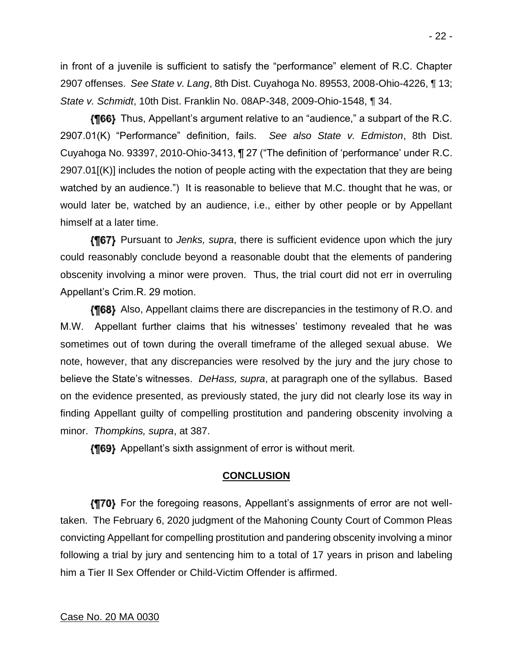- 22 -

in front of a juvenile is sufficient to satisfy the "performance" element of R.C. Chapter 2907 offenses. *See State v. Lang*, 8th Dist. Cuyahoga No. 89553, 2008-Ohio-4226, ¶ 13; *State v. Schmidt*, 10th Dist. Franklin No. 08AP-348, 2009-Ohio-1548, ¶ 34.

{¶66} Thus, Appellant's argument relative to an "audience," a subpart of the R.C. 2907.01(K) "Performance" definition, fails. *See also State v. Edmiston*, 8th Dist. Cuyahoga No. 93397, 2010-Ohio-3413, ¶ 27 ("The definition of 'performance' under R.C. 2907.01[(K)] includes the notion of people acting with the expectation that they are being watched by an audience.") It is reasonable to believe that M.C. thought that he was, or would later be, watched by an audience, i.e., either by other people or by Appellant himself at a later time.

Pursuant to *Jenks, supra*, there is sufficient evidence upon which the jury could reasonably conclude beyond a reasonable doubt that the elements of pandering obscenity involving a minor were proven. Thus, the trial court did not err in overruling Appellant's Crim.R. 29 motion.

**{¶68}** Also, Appellant claims there are discrepancies in the testimony of R.O. and M.W. Appellant further claims that his witnesses' testimony revealed that he was sometimes out of town during the overall timeframe of the alleged sexual abuse. We note, however, that any discrepancies were resolved by the jury and the jury chose to believe the State's witnesses. *DeHass, supra*, at paragraph one of the syllabus. Based on the evidence presented, as previously stated, the jury did not clearly lose its way in finding Appellant guilty of compelling prostitution and pandering obscenity involving a minor. *Thompkins, supra*, at 387.

**{¶69}** Appellant's sixth assignment of error is without merit.

## **CONCLUSION**

For the foregoing reasons, Appellant's assignments of error are not welltaken. The February 6, 2020 judgment of the Mahoning County Court of Common Pleas convicting Appellant for compelling prostitution and pandering obscenity involving a minor following a trial by jury and sentencing him to a total of 17 years in prison and labeling him a Tier II Sex Offender or Child-Victim Offender is affirmed.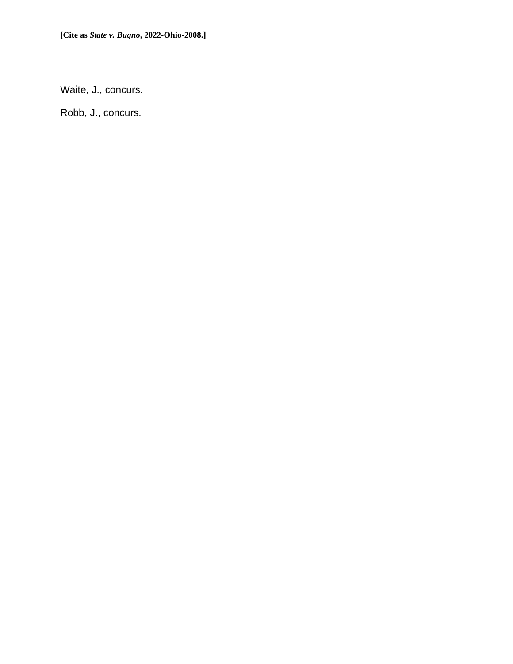Waite, J., concurs.

Robb, J., concurs.